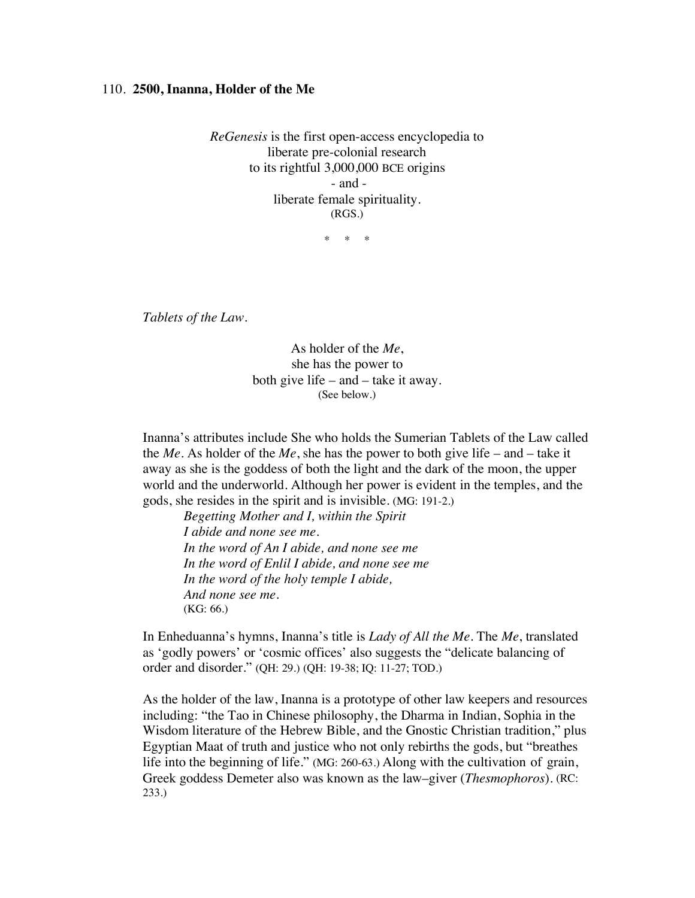## 110. **2500, Inanna, Holder of the Me**

*ReGenesis* is the first open-access encyclopedia to liberate pre-colonial research to its rightful 3,000,000 BCE origins - and liberate female spirituality. (RGS.)

\* \* \*

*Tablets of the Law.*

As holder of the *Me*, she has the power to both give life – and – take it away. (See below.)

Inanna's attributes include She who holds the Sumerian Tablets of the Law called the *Me*. As holder of the *Me*, she has the power to both give life – and – take it away as she is the goddess of both the light and the dark of the moon, the upper world and the underworld. Although her power is evident in the temples, and the gods, she resides in the spirit and is invisible. (MG: 191-2.)

*Begetting Mother and I, within the Spirit I abide and none see me. In the word of An I abide, and none see me In the word of Enlil I abide, and none see me In the word of the holy temple I abide, And none see me.* (KG: 66.)

In Enheduanna's hymns, Inanna's title is *Lady of All the Me*. The *Me*, translated as 'godly powers' or 'cosmic offices' also suggests the "delicate balancing of order and disorder." (QH: 29.) (QH: 19-38; IQ: 11-27; TOD.)

As the holder of the law, Inanna is a prototype of other law keepers and resources including: "the Tao in Chinese philosophy, the Dharma in Indian, Sophia in the Wisdom literature of the Hebrew Bible, and the Gnostic Christian tradition," plus Egyptian Maat of truth and justice who not only rebirths the gods, but "breathes life into the beginning of life." (MG: 260-63.) Along with the cultivation of grain, Greek goddess Demeter also was known as the law–giver (*Thesmophoros*). (RC: 233.)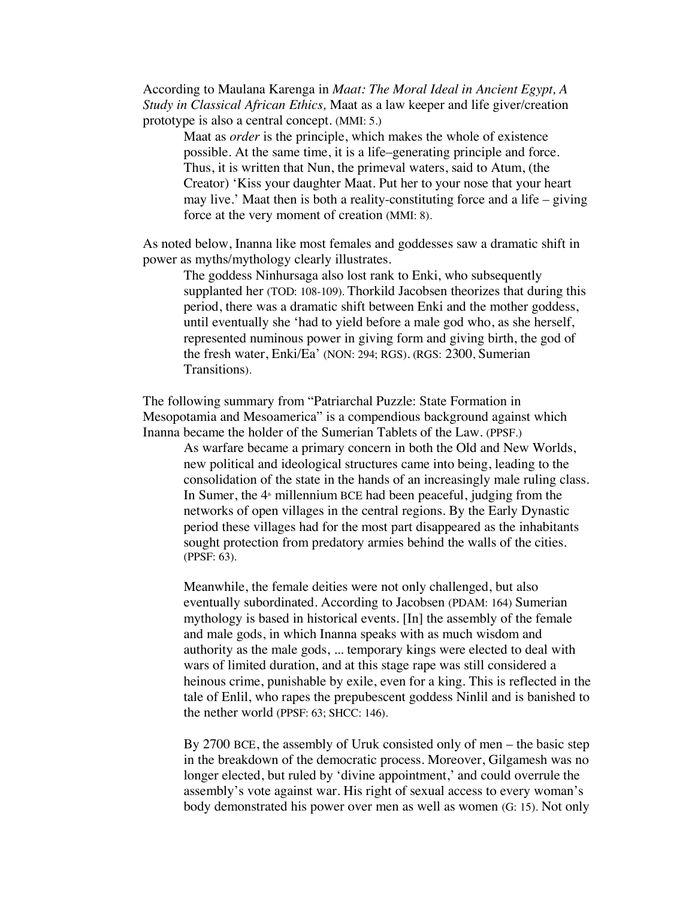According to Maulana Karenga in *Maat: The Moral Ideal in Ancient Egypt, A Study in Classical African Ethics,* Maat as a law keeper and life giver/creation prototype is also a central concept. (MMI: 5.)

Maat as *order* is the principle, which makes the whole of existence possible. At the same time, it is a life–generating principle and force. Thus, it is written that Nun, the primeval waters, said to Atum, (the Creator) 'Kiss your daughter Maat. Put her to your nose that your heart may live.' Maat then is both a reality-constituting force and a life – giving force at the very moment of creation (MMI: 8).

As noted below, Inanna like most females and goddesses saw a dramatic shift in power as myths/mythology clearly illustrates.

The goddess Ninhursaga also lost rank to Enki, who subsequently supplanted her (TOD: 108-109). Thorkild Jacobsen theorizes that during this period, there was a dramatic shift between Enki and the mother goddess, until eventually she 'had to yield before a male god who, as she herself, represented numinous power in giving form and giving birth, the god of the fresh water, Enki/Ea' (NON: 294; RGS). (RGS: 2300, Sumerian Transitions).

The following summary from "Patriarchal Puzzle: State Formation in Mesopotamia and Mesoamerica" is a compendious background against which Inanna became the holder of the Sumerian Tablets of the Law. (PPSF.)

As warfare became a primary concern in both the Old and New Worlds, new political and ideological structures came into being, leading to the consolidation of the state in the hands of an increasingly male ruling class. In Sumer, the  $4<sup>*</sup>$  millennium BCE had been peaceful, judging from the networks of open villages in the central regions. By the Early Dynastic period these villages had for the most part disappeared as the inhabitants sought protection from predatory armies behind the walls of the cities. (PPSF: 63).

Meanwhile, the female deities were not only challenged, but also eventually subordinated. According to Jacobsen (PDAM: 164) Sumerian mythology is based in historical events. [In] the assembly of the female and male gods, in which Inanna speaks with as much wisdom and authority as the male gods, ... temporary kings were elected to deal with wars of limited duration, and at this stage rape was still considered a heinous crime, punishable by exile, even for a king. This is reflected in the tale of Enlil, who rapes the prepubescent goddess Ninlil and is banished to the nether world (PPSF: 63; SHCC: 146).

By 2700 BCE, the assembly of Uruk consisted only of men – the basic step in the breakdown of the democratic process. Moreover, Gilgamesh was no longer elected, but ruled by 'divine appointment,' and could overrule the assembly's vote against war. His right of sexual access to every woman's body demonstrated his power over men as well as women (G: 15). Not only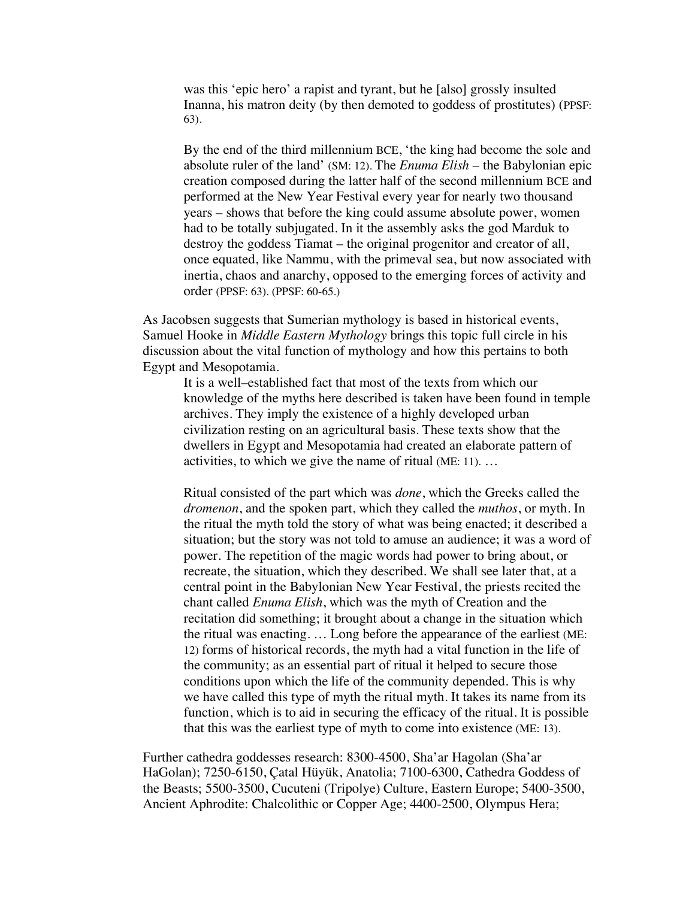was this 'epic hero' a rapist and tyrant, but he [also] grossly insulted Inanna, his matron deity (by then demoted to goddess of prostitutes) (PPSF: 63).

By the end of the third millennium BCE, 'the king had become the sole and absolute ruler of the land' (SM: 12). The *Enuma Elish* – the Babylonian epic creation composed during the latter half of the second millennium BCE and performed at the New Year Festival every year for nearly two thousand years – shows that before the king could assume absolute power, women had to be totally subjugated. In it the assembly asks the god Marduk to destroy the goddess Tiamat – the original progenitor and creator of all, once equated, like Nammu, with the primeval sea, but now associated with inertia, chaos and anarchy, opposed to the emerging forces of activity and order (PPSF: 63). (PPSF: 60-65.)

As Jacobsen suggests that Sumerian mythology is based in historical events, Samuel Hooke in *Middle Eastern Mythology* brings this topic full circle in his discussion about the vital function of mythology and how this pertains to both Egypt and Mesopotamia.

It is a well–established fact that most of the texts from which our knowledge of the myths here described is taken have been found in temple archives. They imply the existence of a highly developed urban civilization resting on an agricultural basis. These texts show that the dwellers in Egypt and Mesopotamia had created an elaborate pattern of activities, to which we give the name of ritual (ME: 11). …

Ritual consisted of the part which was *done*, which the Greeks called the *dromenon*, and the spoken part, which they called the *muthos*, or myth. In the ritual the myth told the story of what was being enacted; it described a situation; but the story was not told to amuse an audience; it was a word of power. The repetition of the magic words had power to bring about, or recreate, the situation, which they described. We shall see later that, at a central point in the Babylonian New Year Festival, the priests recited the chant called *Enuma Elish*, which was the myth of Creation and the recitation did something; it brought about a change in the situation which the ritual was enacting. … Long before the appearance of the earliest (ME: 12) forms of historical records, the myth had a vital function in the life of the community; as an essential part of ritual it helped to secure those conditions upon which the life of the community depended. This is why we have called this type of myth the ritual myth. It takes its name from its function, which is to aid in securing the efficacy of the ritual. It is possible that this was the earliest type of myth to come into existence (ME: 13).

Further cathedra goddesses research: 8300-4500, Sha'ar Hagolan (Sha'ar HaGolan); 7250-6150, Çatal Hüyük, Anatolia; 7100-6300, Cathedra Goddess of the Beasts; 5500-3500, Cucuteni (Tripolye) Culture, Eastern Europe; 5400-3500, Ancient Aphrodite: Chalcolithic or Copper Age; 4400-2500, Olympus Hera;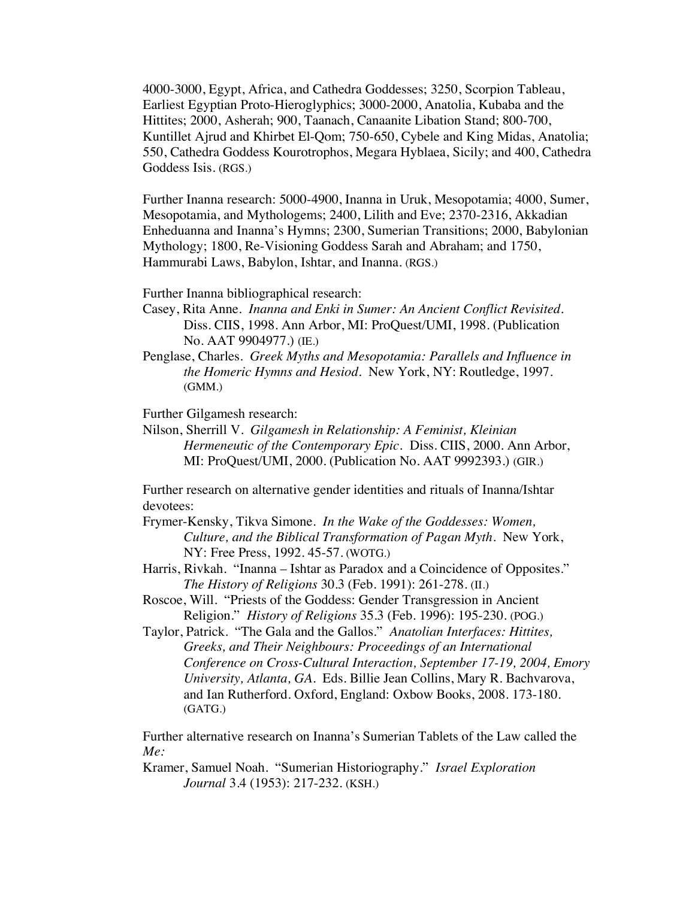4000-3000, Egypt, Africa, and Cathedra Goddesses; 3250, Scorpion Tableau, Earliest Egyptian Proto-Hieroglyphics; 3000-2000, Anatolia, Kubaba and the Hittites; 2000, Asherah; 900, Taanach, Canaanite Libation Stand; 800-700, Kuntillet Ajrud and Khirbet El-Qom; 750-650, Cybele and King Midas, Anatolia; 550, Cathedra Goddess Kourotrophos, Megara Hyblaea, Sicily; and 400, Cathedra Goddess Isis. (RGS.)

Further Inanna research: 5000-4900, Inanna in Uruk, Mesopotamia; 4000, Sumer, Mesopotamia, and Mythologems; 2400, Lilith and Eve; 2370-2316, Akkadian Enheduanna and Inanna's Hymns; 2300, Sumerian Transitions; 2000, Babylonian Mythology; 1800, Re-Visioning Goddess Sarah and Abraham; and 1750, Hammurabi Laws, Babylon, Ishtar, and Inanna. (RGS.)

Further Inanna bibliographical research:

- Casey, Rita Anne. *Inanna and Enki in Sumer: An Ancient Conflict Revisited.* Diss. CIIS, 1998. Ann Arbor, MI: ProQuest/UMI, 1998. (Publication No. AAT 9904977.) (IE.)
- Penglase, Charles. *Greek Myths and Mesopotamia: Parallels and Influence in the Homeric Hymns and Hesiod*. New York, NY: Routledge, 1997. (GMM.)

Further Gilgamesh research:

Nilson, Sherrill V. *Gilgamesh in Relationship: A Feminist, Kleinian Hermeneutic of the Contemporary Epic.* Diss. CIIS, 2000. Ann Arbor, MI: ProQuest/UMI, 2000. (Publication No. AAT 9992393.) (GIR.)

Further research on alternative gender identities and rituals of Inanna/Ishtar devotees:

- Frymer-Kensky, Tikva Simone. *In the Wake of the Goddesses: Women, Culture, and the Biblical Transformation of Pagan Myth*. New York, NY: Free Press, 1992. 45-57. (WOTG.)
- Harris, Rivkah. "Inanna Ishtar as Paradox and a Coincidence of Opposites." *The History of Religions* 30.3 (Feb. 1991): 261-278. (II.)
- Roscoe, Will. "Priests of the Goddess: Gender Transgression in Ancient Religion." *History of Religions* 35.3 (Feb. 1996): 195-230. (POG.)
- Taylor, Patrick. "The Gala and the Gallos." *Anatolian Interfaces: Hittites, Greeks, and Their Neighbours: Proceedings of an International Conference on Cross-Cultural Interaction, September 17-19, 2004, Emory University, Atlanta, GA.* Eds. Billie Jean Collins, Mary R. Bachvarova, and Ian Rutherford. Oxford, England: Oxbow Books, 2008. 173-180. (GATG.)

Further alternative research on Inanna's Sumerian Tablets of the Law called the *Me:*

Kramer, Samuel Noah. "Sumerian Historiography." *Israel Exploration Journal* 3.4 (1953): 217-232. (KSH.)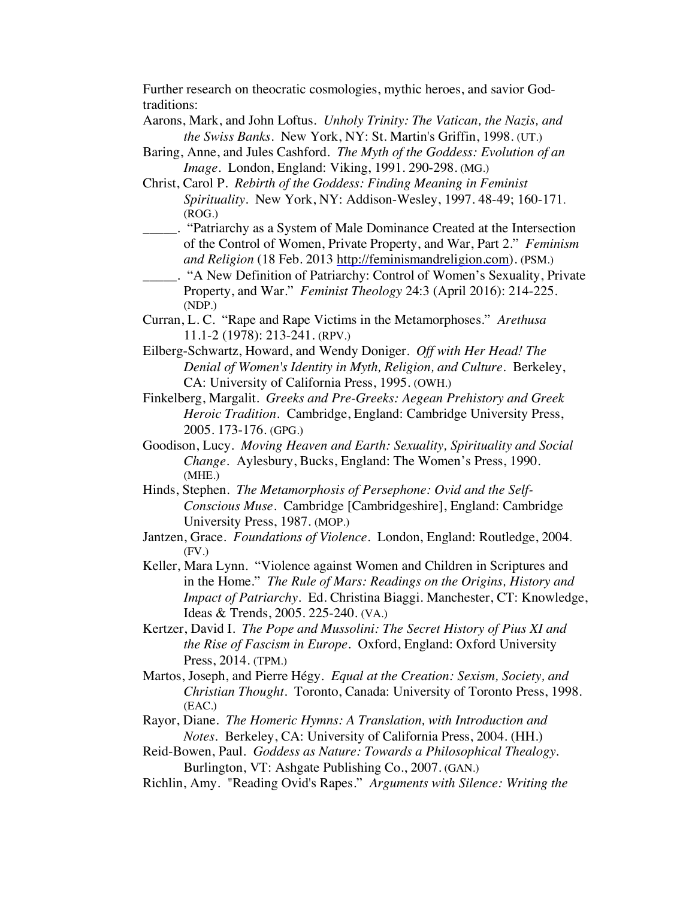Further research on theocratic cosmologies, mythic heroes, and savior Godtraditions:

- Aarons, Mark, and John Loftus. *Unholy Trinity: The Vatican, the Nazis, and the Swiss Banks*. New York, NY: St. Martin's Griffin, 1998. (UT.)
- Baring, Anne, and Jules Cashford. *The Myth of the Goddess: Evolution of an Image*. London, England: Viking, 1991. 290-298. (MG.)
- Christ, Carol P. *Rebirth of the Goddess: Finding Meaning in Feminist Spirituality*. New York, NY: Addison-Wesley, 1997. 48-49; 160-171. (ROG.)
- \_\_\_\_\_. "Patriarchy as a System of Male Dominance Created at the Intersection of the Control of Women, Private Property, and War, Part 2." *Feminism and Religion* (18 Feb. 2013 http://feminismandreligion.com). (PSM.)
- \_\_\_\_\_. "A New Definition of Patriarchy: Control of Women's Sexuality, Private Property, and War." *Feminist Theology* 24:3 (April 2016): 214-225. (NDP.)
- Curran, L. C. "Rape and Rape Victims in the Metamorphoses." *Arethusa* 11.1-2 (1978): 213-241. (RPV.)
- Eilberg-Schwartz, Howard, and Wendy Doniger. *Off with Her Head! The Denial of Women's Identity in Myth, Religion, and Culture*. Berkeley, CA: University of California Press, 1995. (OWH.)
- Finkelberg, Margalit. *Greeks and Pre-Greeks: Aegean Prehistory and Greek Heroic Tradition.* Cambridge, England: Cambridge University Press, 2005. 173-176. (GPG.)
- Goodison, Lucy. *Moving Heaven and Earth: Sexuality, Spirituality and Social Change.* Aylesbury, Bucks, England: The Women's Press, 1990. (MHE.)
- Hinds, Stephen. *The Metamorphosis of Persephone: Ovid and the Self-Conscious Muse*. Cambridge [Cambridgeshire], England: Cambridge University Press, 1987. (MOP.)
- Jantzen, Grace. *Foundations of Violence*. London, England: Routledge, 2004. (FV.)
- Keller, Mara Lynn. "Violence against Women and Children in Scriptures and in the Home." *The Rule of Mars: Readings on the Origins, History and Impact of Patriarchy.* Ed. Christina Biaggi. Manchester, CT: Knowledge, Ideas & Trends, 2005. 225-240. (VA.)
- Kertzer, David I. *The Pope and Mussolini: The Secret History of Pius XI and the Rise of Fascism in Europe.* Oxford, England: Oxford University Press, 2014. (TPM.)
- Martos, Joseph, and Pierre Hégy. *Equal at the Creation: Sexism, Society, and Christian Thought*. Toronto, Canada: University of Toronto Press, 1998. (EAC.)
- Rayor, Diane. *The Homeric Hymns: A Translation, with Introduction and Notes.* Berkeley, CA: University of California Press, 2004. (HH.)
- Reid-Bowen, Paul. *Goddess as Nature: Towards a Philosophical Thealogy.* Burlington, VT: Ashgate Publishing Co., 2007. (GAN.)
- Richlin, Amy. "Reading Ovid's Rapes." *Arguments with Silence: Writing the*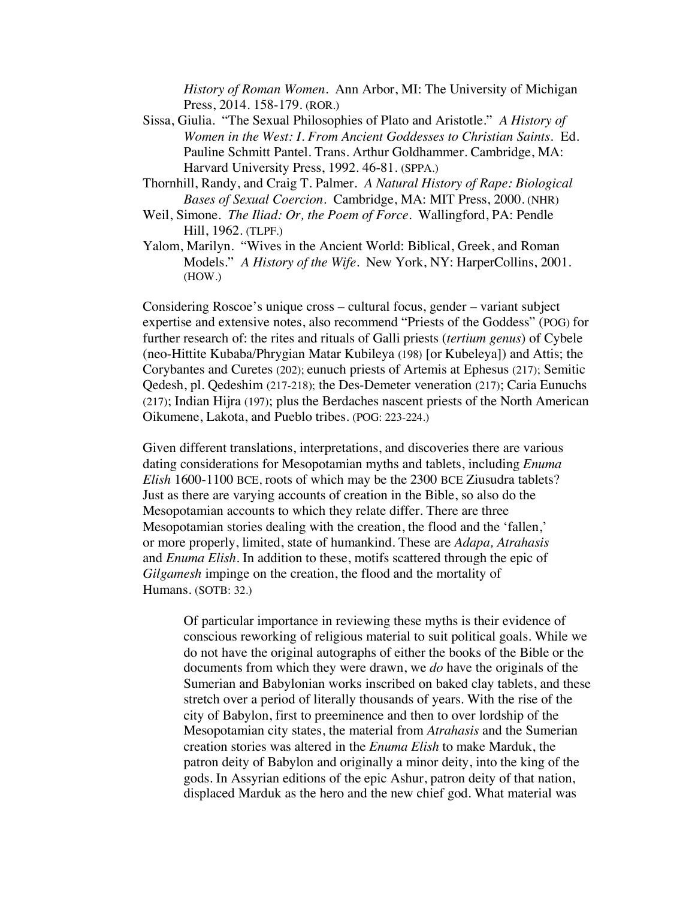*History of Roman Women*. Ann Arbor, MI: The University of Michigan Press, 2014. 158-179. (ROR.)

- Sissa, Giulia. "The Sexual Philosophies of Plato and Aristotle." *A History of Women in the West: I. From Ancient Goddesses to Christian Saints.* Ed. Pauline Schmitt Pantel. Trans. Arthur Goldhammer. Cambridge, MA: Harvard University Press, 1992. 46-81. (SPPA.)
- Thornhill, Randy, and Craig T. Palmer. *A Natural History of Rape: Biological Bases of Sexual Coercion*. Cambridge, MA: MIT Press, 2000. (NHR)
- Weil, Simone. *The Iliad: Or, the Poem of Force*. Wallingford, PA: Pendle Hill, 1962. (TLPF.)
- Yalom, Marilyn. "Wives in the Ancient World: Biblical, Greek, and Roman Models." *A History of the Wife*. New York, NY: HarperCollins, 2001. (HOW.)

Considering Roscoe's unique cross – cultural focus, gender – variant subject expertise and extensive notes, also recommend "Priests of the Goddess" (POG) for further research of: the rites and rituals of Galli priests (*tertium genus*) of Cybele (neo-Hittite Kubaba/Phrygian Matar Kubileya (198) [or Kubeleya]) and Attis; the Corybantes and Curetes (202); eunuch priests of Artemis at Ephesus (217); Semitic Qedesh, pl. Qedeshim (217-218); the Des-Demeter veneration (217); Caria Eunuchs (217); Indian Hijra (197); plus the Berdaches nascent priests of the North American Oikumene, Lakota, and Pueblo tribes. (POG: 223-224.)

Given different translations, interpretations, and discoveries there are various dating considerations for Mesopotamian myths and tablets, including *Enuma Elish* 1600-1100 BCE, roots of which may be the 2300 BCE Ziusudra tablets? Just as there are varying accounts of creation in the Bible, so also do the Mesopotamian accounts to which they relate differ. There are three Mesopotamian stories dealing with the creation, the flood and the 'fallen,' or more properly, limited, state of humankind. These are *Adapa, Atrahasis*  and *Enuma Elish.* In addition to these, motifs scattered through the epic of *Gilgamesh* impinge on the creation, the flood and the mortality of Humans. (SOTB: 32.)

Of particular importance in reviewing these myths is their evidence of conscious reworking of religious material to suit political goals. While we do not have the original autographs of either the books of the Bible or the documents from which they were drawn, we *do* have the originals of the Sumerian and Babylonian works inscribed on baked clay tablets, and these stretch over a period of literally thousands of years. With the rise of the city of Babylon, first to preeminence and then to over lordship of the Mesopotamian city states, the material from *Atrahasis* and the Sumerian creation stories was altered in the *Enuma Elish* to make Marduk, the patron deity of Babylon and originally a minor deity, into the king of the gods. In Assyrian editions of the epic Ashur, patron deity of that nation, displaced Marduk as the hero and the new chief god. What material was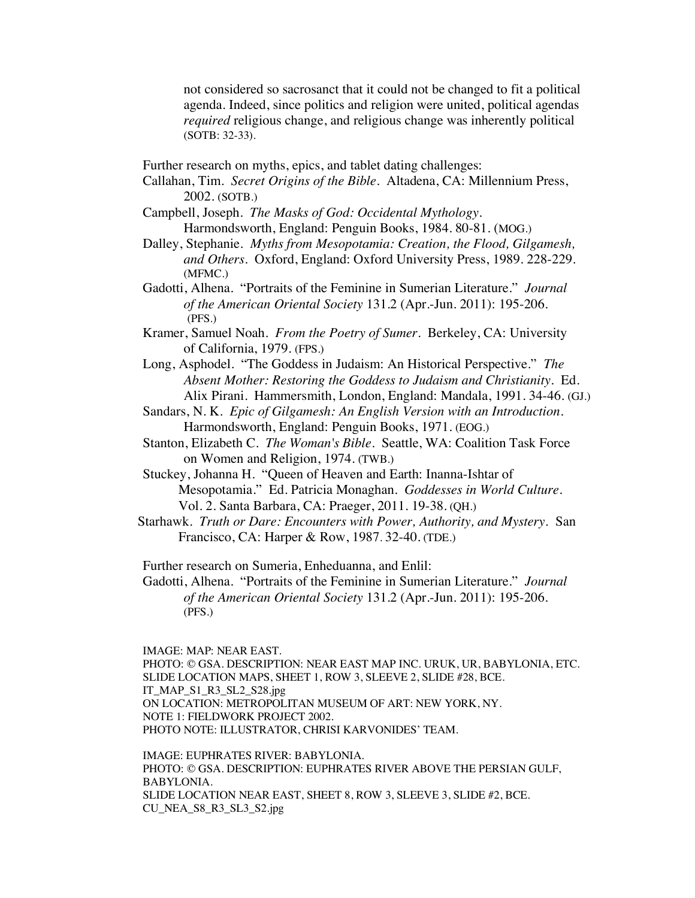not considered so sacrosanct that it could not be changed to fit a political agenda. Indeed, since politics and religion were united, political agendas *required* religious change, and religious change was inherently political (SOTB: 32-33).

Further research on myths, epics, and tablet dating challenges:

Callahan, Tim. *Secret Origins of the Bible.* Altadena, CA: Millennium Press, 2002. (SOTB.)

- Campbell, Joseph. *The Masks of God: Occidental Mythology.* Harmondsworth, England: Penguin Books, 1984. 80-81. (MOG.)
- Dalley, Stephanie. *Myths from Mesopotamia: Creation, the Flood, Gilgamesh, and Others*. Oxford, England: Oxford University Press, 1989. 228-229. (MFMC.)
- Gadotti, Alhena. "Portraits of the Feminine in Sumerian Literature." *Journal of the American Oriental Society* 131.2 (Apr.-Jun. 2011): 195-206. (PFS.)
- Kramer, Samuel Noah. *From the Poetry of Sumer*. Berkeley, CA: University of California, 1979. (FPS.)
- Long, Asphodel. "The Goddess in Judaism: An Historical Perspective." *The Absent Mother: Restoring the Goddess to Judaism and Christianity.* Ed. Alix Pirani. Hammersmith, London, England: Mandala, 1991. 34-46. (GJ.)
- Sandars, N. K. *Epic of Gilgamesh: An English Version with an Introduction.* Harmondsworth, England: Penguin Books, 1971. (EOG.)
- Stanton, Elizabeth C. *The Woman's Bible*. Seattle, WA: Coalition Task Force on Women and Religion, 1974. (TWB.)
- Stuckey, Johanna H. "Queen of Heaven and Earth: Inanna-Ishtar of Mesopotamia." Ed. Patricia Monaghan. *Goddesses in World Culture.* Vol. 2. Santa Barbara, CA: Praeger, 2011. 19-38. (QH.)
- Starhawk. *Truth or Dare: Encounters with Power, Authority, and Mystery.* San Francisco, CA: Harper & Row, 1987. 32-40. (TDE.)

Further research on Sumeria, Enheduanna, and Enlil:

Gadotti, Alhena. "Portraits of the Feminine in Sumerian Literature." *Journal of the American Oriental Society* 131.2 (Apr.-Jun. 2011): 195-206. (PFS.)

IMAGE: MAP: NEAR EAST.

PHOTO: © GSA. DESCRIPTION: NEAR EAST MAP INC. URUK, UR, BABYLONIA, ETC. SLIDE LOCATION MAPS, SHEET 1, ROW 3, SLEEVE 2, SLIDE #28, BCE. IT\_MAP\_S1\_R3\_SL2\_S28.jpg ON LOCATION: METROPOLITAN MUSEUM OF ART: NEW YORK, NY. NOTE 1: FIELDWORK PROJECT 2002. PHOTO NOTE: ILLUSTRATOR, CHRISI KARVONIDES' TEAM.

IMAGE: EUPHRATES RIVER: BABYLONIA. PHOTO: © GSA. DESCRIPTION: EUPHRATES RIVER ABOVE THE PERSIAN GULF, BABYLONIA. SLIDE LOCATION NEAR EAST, SHEET 8, ROW 3, SLEEVE 3, SLIDE #2, BCE. CU\_NEA\_S8\_R3\_SL3\_S2.jpg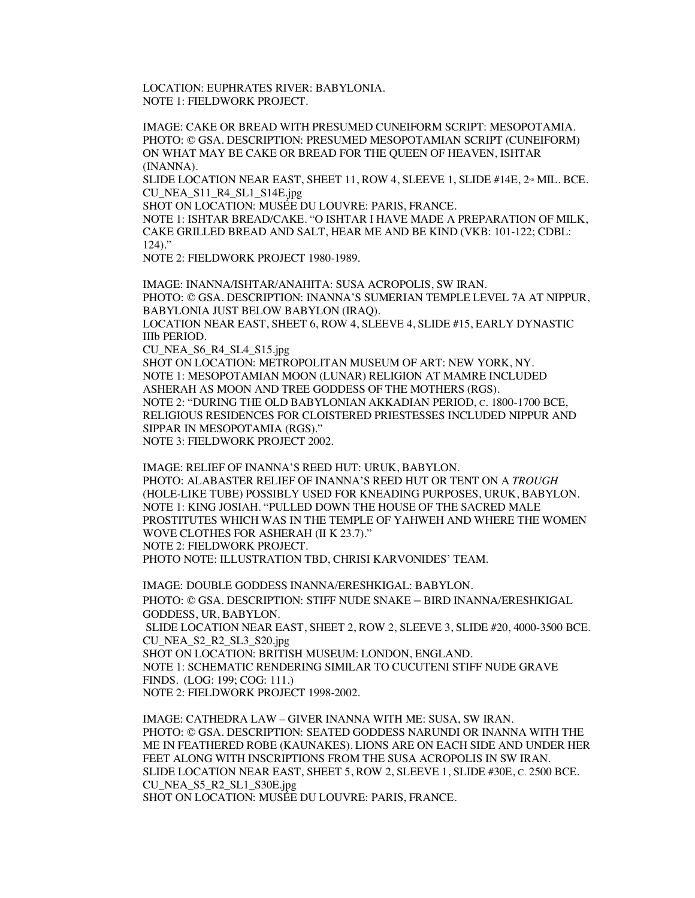LOCATION: EUPHRATES RIVER: BABYLONIA. NOTE 1: FIELDWORK PROJECT.

IMAGE: CAKE OR BREAD WITH PRESUMED CUNEIFORM SCRIPT: MESOPOTAMIA. PHOTO: © GSA. DESCRIPTION: PRESUMED MESOPOTAMIAN SCRIPT (CUNEIFORM) ON WHAT MAY BE CAKE OR BREAD FOR THE QUEEN OF HEAVEN, ISHTAR (INANNA).

SLIDE LOCATION NEAR EAST, SHEET 11, ROW 4, SLEEVE 1, SLIDE #14E,  $2^{\omega}$  MIL. BCE. CU\_NEA\_S11\_R4\_SL1\_S14E.jpg

SHOT ON LOCATION: MUSÉE DU LOUVRE: PARIS, FRANCE.

NOTE 1: ISHTAR BREAD/CAKE. "O ISHTAR I HAVE MADE A PREPARATION OF MILK, CAKE GRILLED BREAD AND SALT, HEAR ME AND BE KIND (VKB: 101-122; CDBL: 124)."

NOTE 2: FIELDWORK PROJECT 1980-1989.

IMAGE: INANNA/ISHTAR/ANAHITA: SUSA ACROPOLIS, SW IRAN. PHOTO: © GSA. DESCRIPTION: INANNA'S SUMERIAN TEMPLE LEVEL 7A AT NIPPUR, BABYLONIA JUST BELOW BABYLON (IRAQ). LOCATION NEAR EAST, SHEET 6, ROW 4, SLEEVE 4, SLIDE #15, EARLY DYNASTIC IIIb PERIOD.

CU\_NEA\_S6\_R4\_SL4\_S15.jpg

SHOT ON LOCATION: METROPOLITAN MUSEUM OF ART: NEW YORK, NY. NOTE 1: MESOPOTAMIAN MOON (LUNAR) RELIGION AT MAMRE INCLUDED ASHERAH AS MOON AND TREE GODDESS OF THE MOTHERS (RGS). NOTE 2: "DURING THE OLD BABYLONIAN AKKADIAN PERIOD, C. 1800-1700 BCE, RELIGIOUS RESIDENCES FOR CLOISTERED PRIESTESSES INCLUDED NIPPUR AND SIPPAR IN MESOPOTAMIA (RGS)." NOTE 3: FIELDWORK PROJECT 2002.

IMAGE: RELIEF OF INANNA'S REED HUT: URUK, BABYLON. PHOTO: ALABASTER RELIEF OF INANNA'S REED HUT OR TENT ON A *TROUGH* (HOLE-LIKE TUBE) POSSIBLY USED FOR KNEADING PURPOSES, URUK, BABYLON. NOTE 1: KING JOSIAH. "PULLED DOWN THE HOUSE OF THE SACRED MALE PROSTITUTES WHICH WAS IN THE TEMPLE OF YAHWEH AND WHERE THE WOMEN WOVE CLOTHES FOR ASHERAH (II K 23.7)." NOTE 2: FIELDWORK PROJECT. PHOTO NOTE: ILLUSTRATION TBD, CHRISI KARVONIDES' TEAM.

IMAGE: DOUBLE GODDESS INANNA/ERESHKIGAL: BABYLON. PHOTO: © GSA. DESCRIPTION: STIFF NUDE SNAKE – BIRD INANNA/ERESHKIGAL GODDESS, UR, BABYLON. SLIDE LOCATION NEAR EAST, SHEET 2, ROW 2, SLEEVE 3, SLIDE #20, 4000-3500 BCE. CU\_NEA\_S2\_R2\_SL3\_S20.jpg SHOT ON LOCATION: BRITISH MUSEUM: LONDON, ENGLAND. NOTE 1: SCHEMATIC RENDERING SIMILAR TO CUCUTENI STIFF NUDE GRAVE FINDS. (LOG: 199; COG: 111.) NOTE 2: FIELDWORK PROJECT 1998-2002.

IMAGE: CATHEDRA LAW – GIVER INANNA WITH ME: SUSA, SW IRAN. PHOTO: © GSA. DESCRIPTION: SEATED GODDESS NARUNDI OR INANNA WITH THE ME IN FEATHERED ROBE (KAUNAKES). LIONS ARE ON EACH SIDE AND UNDER HER FEET ALONG WITH INSCRIPTIONS FROM THE SUSA ACROPOLIS IN SW IRAN. SLIDE LOCATION NEAR EAST, SHEET 5, ROW 2, SLEEVE 1, SLIDE #30E, C. 2500 BCE. CU\_NEA\_S5\_R2\_SL1\_S30E.jpg SHOT ON LOCATION: MUSÉE DU LOUVRE: PARIS, FRANCE.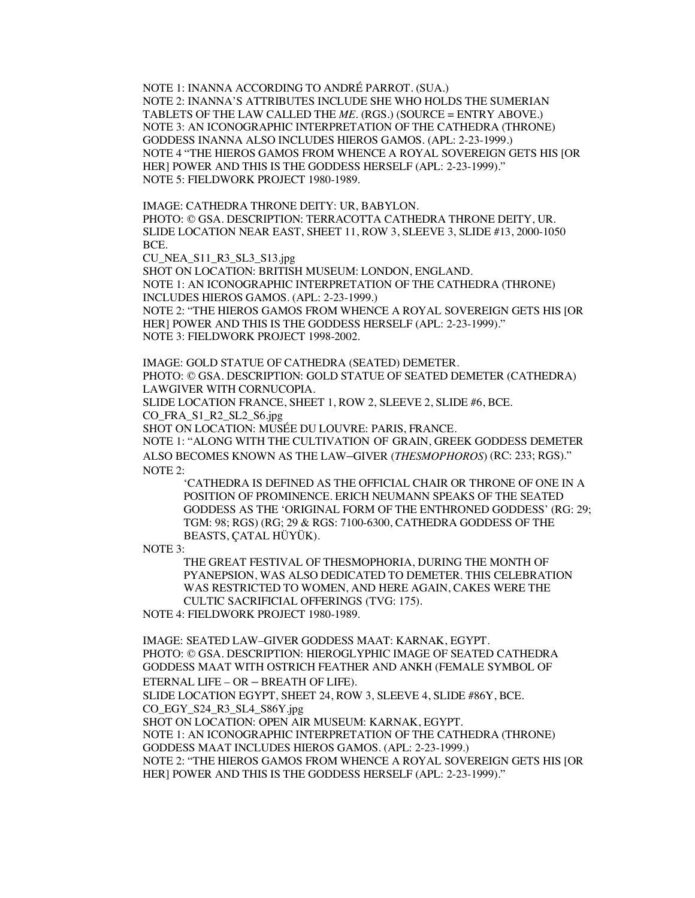NOTE 1: INANNA ACCORDING TO ANDRÉ PARROT. (SUA.) NOTE 2: INANNA'S ATTRIBUTES INCLUDE SHE WHO HOLDS THE SUMERIAN TABLETS OF THE LAW CALLED THE *ME*. (RGS.) (SOURCE = ENTRY ABOVE.) NOTE 3: AN ICONOGRAPHIC INTERPRETATION OF THE CATHEDRA (THRONE) GODDESS INANNA ALSO INCLUDES HIEROS GAMOS. (APL: 2-23-1999.) NOTE 4 "THE HIEROS GAMOS FROM WHENCE A ROYAL SOVEREIGN GETS HIS [OR HER] POWER AND THIS IS THE GODDESS HERSELF (APL: 2-23-1999)." NOTE 5: FIELDWORK PROJECT 1980-1989.

IMAGE: CATHEDRA THRONE DEITY: UR, BABYLON. PHOTO: © GSA. DESCRIPTION: TERRACOTTA CATHEDRA THRONE DEITY, UR. SLIDE LOCATION NEAR EAST, SHEET 11, ROW 3, SLEEVE 3, SLIDE #13, 2000-1050 BCE.

CU\_NEA\_S11\_R3\_SL3\_S13.jpg

SHOT ON LOCATION: BRITISH MUSEUM: LONDON, ENGLAND. NOTE 1: AN ICONOGRAPHIC INTERPRETATION OF THE CATHEDRA (THRONE) INCLUDES HIEROS GAMOS. (APL: 2-23-1999.)

NOTE 2: "THE HIEROS GAMOS FROM WHENCE A ROYAL SOVEREIGN GETS HIS [OR HER] POWER AND THIS IS THE GODDESS HERSELF (APL: 2-23-1999)." NOTE 3: FIELDWORK PROJECT 1998-2002.

IMAGE: GOLD STATUE OF CATHEDRA (SEATED) DEMETER.

PHOTO: © GSA. DESCRIPTION: GOLD STATUE OF SEATED DEMETER (CATHEDRA) LAWGIVER WITH CORNUCOPIA.

SLIDE LOCATION FRANCE, SHEET 1, ROW 2, SLEEVE 2, SLIDE #6, BCE.

CO\_FRA\_S1\_R2\_SL2\_S6.jpg

SHOT ON LOCATION: MUSÉE DU LOUVRE: PARIS, FRANCE.

NOTE 1: "ALONG WITH THE CULTIVATION OF GRAIN, GREEK GODDESS DEMETER ALSO BECOMES KNOWN AS THE LAW–GIVER (*THESMOPHOROS*) (RC: 233; RGS)." NOTE 2:

'CATHEDRA IS DEFINED AS THE OFFICIAL CHAIR OR THRONE OF ONE IN A POSITION OF PROMINENCE. ERICH NEUMANN SPEAKS OF THE SEATED GODDESS AS THE 'ORIGINAL FORM OF THE ENTHRONED GODDESS' (RG: 29; TGM: 98; RGS) (RG; 29 & RGS: 7100-6300, CATHEDRA GODDESS OF THE BEASTS, ÇATAL HÜYÜK).

NOTE 3:

THE GREAT FESTIVAL OF THESMOPHORIA, DURING THE MONTH OF PYANEPSION, WAS ALSO DEDICATED TO DEMETER. THIS CELEBRATION WAS RESTRICTED TO WOMEN, AND HERE AGAIN, CAKES WERE THE CULTIC SACRIFICIAL OFFERINGS (TVG: 175).

NOTE 4: FIELDWORK PROJECT 1980-1989.

IMAGE: SEATED LAW–GIVER GODDESS MAAT: KARNAK, EGYPT. PHOTO: © GSA. DESCRIPTION: HIEROGLYPHIC IMAGE OF SEATED CATHEDRA GODDESS MAAT WITH OSTRICH FEATHER AND ANKH (FEMALE SYMBOL OF ETERNAL LIFE – OR – BREATH OF LIFE).

SLIDE LOCATION EGYPT, SHEET 24, ROW 3, SLEEVE 4, SLIDE #86Y, BCE. CO\_EGY\_S24\_R3\_SL4\_S86Y.jpg

SHOT ON LOCATION: OPEN AIR MUSEUM: KARNAK, EGYPT.

NOTE 1: AN ICONOGRAPHIC INTERPRETATION OF THE CATHEDRA (THRONE) GODDESS MAAT INCLUDES HIEROS GAMOS. (APL: 2-23-1999.)

NOTE 2: "THE HIEROS GAMOS FROM WHENCE A ROYAL SOVEREIGN GETS HIS [OR HER] POWER AND THIS IS THE GODDESS HERSELF (APL: 2-23-1999)."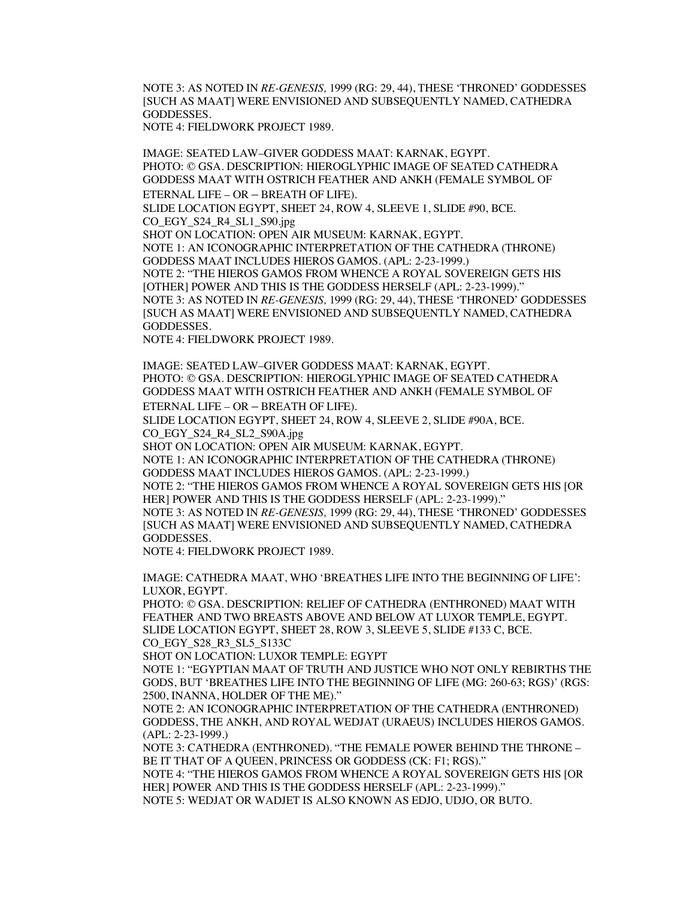NOTE 3: AS NOTED IN *RE-GENESIS,* 1999 (RG: 29, 44), THESE 'THRONED' GODDESSES [SUCH AS MAAT] WERE ENVISIONED AND SUBSEQUENTLY NAMED, CATHEDRA GODDESSES.

NOTE 4: FIELDWORK PROJECT 1989.

IMAGE: SEATED LAW–GIVER GODDESS MAAT: KARNAK, EGYPT. PHOTO: © GSA. DESCRIPTION: HIEROGLYPHIC IMAGE OF SEATED CATHEDRA GODDESS MAAT WITH OSTRICH FEATHER AND ANKH (FEMALE SYMBOL OF ETERNAL LIFE – OR – BREATH OF LIFE).

SLIDE LOCATION EGYPT, SHEET 24, ROW 4, SLEEVE 1, SLIDE #90, BCE. CO\_EGY\_S24\_R4\_SL1\_S90.jpg

SHOT ON LOCATION: OPEN AIR MUSEUM: KARNAK, EGYPT.

NOTE 1: AN ICONOGRAPHIC INTERPRETATION OF THE CATHEDRA (THRONE) GODDESS MAAT INCLUDES HIEROS GAMOS. (APL: 2-23-1999.)

NOTE 2: "THE HIEROS GAMOS FROM WHENCE A ROYAL SOVEREIGN GETS HIS [OTHER] POWER AND THIS IS THE GODDESS HERSELF (APL: 2-23-1999)." NOTE 3: AS NOTED IN *RE-GENESIS,* 1999 (RG: 29, 44), THESE 'THRONED' GODDESSES [SUCH AS MAAT] WERE ENVISIONED AND SUBSEQUENTLY NAMED, CATHEDRA GODDESSES.

NOTE 4: FIELDWORK PROJECT 1989.

IMAGE: SEATED LAW–GIVER GODDESS MAAT: KARNAK, EGYPT. PHOTO: © GSA. DESCRIPTION: HIEROGLYPHIC IMAGE OF SEATED CATHEDRA GODDESS MAAT WITH OSTRICH FEATHER AND ANKH (FEMALE SYMBOL OF

ETERNAL LIFE – OR – BREATH OF LIFE). SLIDE LOCATION EGYPT, SHEET 24, ROW 4, SLEEVE 2, SLIDE #90A, BCE.

CO\_EGY\_S24\_R4\_SL2\_S90A.jpg

SHOT ON LOCATION: OPEN AIR MUSEUM: KARNAK, EGYPT.

NOTE 1: AN ICONOGRAPHIC INTERPRETATION OF THE CATHEDRA (THRONE) GODDESS MAAT INCLUDES HIEROS GAMOS. (APL: 2-23-1999.)

NOTE 2: "THE HIEROS GAMOS FROM WHENCE A ROYAL SOVEREIGN GETS HIS [OR HER] POWER AND THIS IS THE GODDESS HERSELF (APL: 2-23-1999)."

NOTE 3: AS NOTED IN *RE-GENESIS,* 1999 (RG: 29, 44), THESE 'THRONED' GODDESSES [SUCH AS MAAT] WERE ENVISIONED AND SUBSEQUENTLY NAMED, CATHEDRA GODDESSES.

NOTE 4: FIELDWORK PROJECT 1989.

IMAGE: CATHEDRA MAAT, WHO 'BREATHES LIFE INTO THE BEGINNING OF LIFE': LUXOR, EGYPT.

PHOTO: © GSA. DESCRIPTION: RELIEF OF CATHEDRA (ENTHRONED) MAAT WITH FEATHER AND TWO BREASTS ABOVE AND BELOW AT LUXOR TEMPLE, EGYPT. SLIDE LOCATION EGYPT, SHEET 28, ROW 3, SLEEVE 5, SLIDE #133 C, BCE. CO\_EGY\_S28\_R3\_SL5\_S133C

SHOT ON LOCATION: LUXOR TEMPLE: EGYPT

NOTE 1: "EGYPTIAN MAAT OF TRUTH AND JUSTICE WHO NOT ONLY REBIRTHS THE GODS, BUT 'BREATHES LIFE INTO THE BEGINNING OF LIFE (MG: 260-63; RGS)' (RGS: 2500, INANNA, HOLDER OF THE ME)."

NOTE 2: AN ICONOGRAPHIC INTERPRETATION OF THE CATHEDRA (ENTHRONED) GODDESS, THE ANKH, AND ROYAL WEDJAT (URAEUS) INCLUDES HIEROS GAMOS. (APL: 2-23-1999.)

NOTE 3: CATHEDRA (ENTHRONED). "THE FEMALE POWER BEHIND THE THRONE – BE IT THAT OF A QUEEN, PRINCESS OR GODDESS (CK: F1; RGS)."

NOTE 4: "THE HIEROS GAMOS FROM WHENCE A ROYAL SOVEREIGN GETS HIS [OR HER] POWER AND THIS IS THE GODDESS HERSELF (APL: 2-23-1999)."

NOTE 5: WEDJAT OR WADJET IS ALSO KNOWN AS EDJO, UDJO, OR BUTO.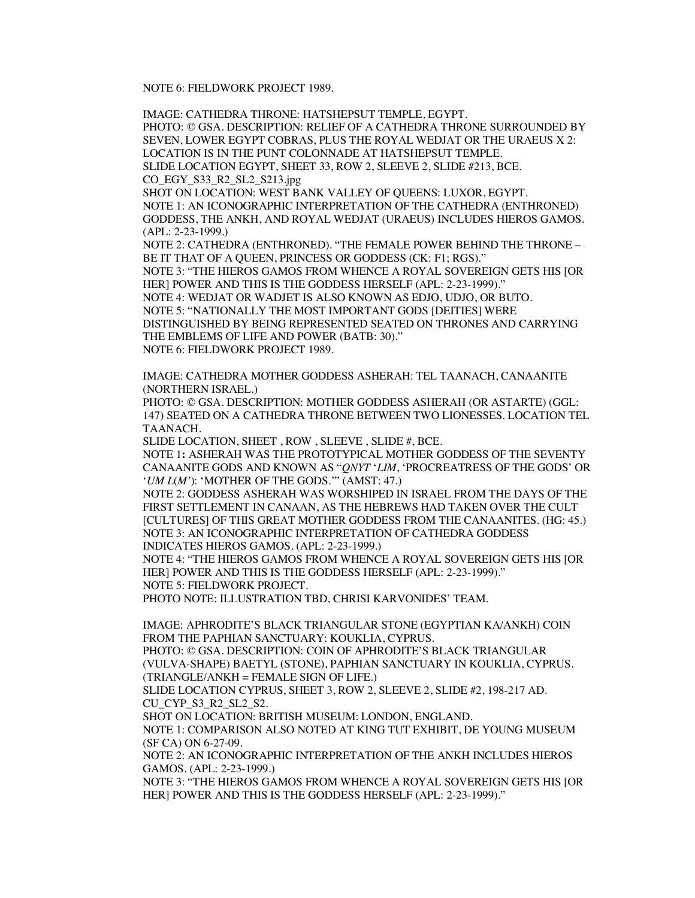NOTE 6: FIELDWORK PROJECT 1989.

IMAGE: CATHEDRA THRONE: HATSHEPSUT TEMPLE, EGYPT. PHOTO: © GSA. DESCRIPTION: RELIEF OF A CATHEDRA THRONE SURROUNDED BY SEVEN, LOWER EGYPT COBRAS, PLUS THE ROYAL WEDJAT OR THE URAEUS X 2: LOCATION IS IN THE PUNT COLONNADE AT HATSHEPSUT TEMPLE. SLIDE LOCATION EGYPT, SHEET 33, ROW 2, SLEEVE 2, SLIDE #213, BCE. CO\_EGY\_S33\_R2\_SL2\_S213.jpg

SHOT ON LOCATION: WEST BANK VALLEY OF QUEENS: LUXOR, EGYPT. NOTE 1: AN ICONOGRAPHIC INTERPRETATION OF THE CATHEDRA (ENTHRONED) GODDESS, THE ANKH, AND ROYAL WEDJAT (URAEUS) INCLUDES HIEROS GAMOS. (APL: 2-23-1999.)

NOTE 2: CATHEDRA (ENTHRONED). "THE FEMALE POWER BEHIND THE THRONE – BE IT THAT OF A QUEEN, PRINCESS OR GODDESS (CK: F1; RGS)."

NOTE 3: "THE HIEROS GAMOS FROM WHENCE A ROYAL SOVEREIGN GETS HIS [OR HER] POWER AND THIS IS THE GODDESS HERSELF (APL: 2-23-1999)."

NOTE 4: WEDJAT OR WADJET IS ALSO KNOWN AS EDJO, UDJO, OR BUTO. NOTE 5: "NATIONALLY THE MOST IMPORTANT GODS [DEITIES] WERE

DISTINGUISHED BY BEING REPRESENTED SEATED ON THRONES AND CARRYING THE EMBLEMS OF LIFE AND POWER (BATB: 30)."

NOTE 6: FIELDWORK PROJECT 1989.

IMAGE: CATHEDRA MOTHER GODDESS ASHERAH: TEL TAANACH, CANAANITE (NORTHERN ISRAEL.)

PHOTO: © GSA. DESCRIPTION: MOTHER GODDESS ASHERAH (OR ASTARTE) (GGL: 147) SEATED ON A CATHEDRA THRONE BETWEEN TWO LIONESSES. LOCATION TEL TAANACH.

SLIDE LOCATION, SHEET , ROW , SLEEVE , SLIDE #, BCE.

NOTE 1**:** ASHERAH WAS THE PROTOTYPICAL MOTHER GODDESS OF THE SEVENTY CANAANITE GODS AND KNOWN AS "*QNYT* '*LIM*, 'PROCREATRESS OF THE GODS' OR '*UM L*(*M'*): 'MOTHER OF THE GODS.'" (AMST: 47.)

NOTE 2: GODDESS ASHERAH WAS WORSHIPED IN ISRAEL FROM THE DAYS OF THE FIRST SETTLEMENT IN CANAAN, AS THE HEBREWS HAD TAKEN OVER THE CULT [CULTURES] OF THIS GREAT MOTHER GODDESS FROM THE CANAANITES. (HG: 45.) NOTE 3: AN ICONOGRAPHIC INTERPRETATION OF CATHEDRA GODDESS INDICATES HIEROS GAMOS. (APL: 2-23-1999.)

NOTE 4: "THE HIEROS GAMOS FROM WHENCE A ROYAL SOVEREIGN GETS HIS [OR HER] POWER AND THIS IS THE GODDESS HERSELF (APL: 2-23-1999)." NOTE 5: FIELDWORK PROJECT.

PHOTO NOTE: ILLUSTRATION TBD, CHRISI KARVONIDES' TEAM.

IMAGE: APHRODITE'S BLACK TRIANGULAR STONE (EGYPTIAN KA/ANKH) COIN FROM THE PAPHIAN SANCTUARY: KOUKLIA, CYPRUS.

PHOTO: © GSA. DESCRIPTION: COIN OF APHRODITE'S BLACK TRIANGULAR (VULVA-SHAPE) BAETYL **(**STONE), PAPHIAN SANCTUARY IN KOUKLIA, CYPRUS.  $(TRIANGLE/ANKH = FEMALE SIGN OF LIFE.)$ 

SLIDE LOCATION CYPRUS, SHEET 3, ROW 2, SLEEVE 2, SLIDE #2, 198-217 AD. CU\_CYP\_S3\_R2\_SL2\_S2.

SHOT ON LOCATION: BRITISH MUSEUM: LONDON, ENGLAND.

NOTE 1: COMPARISON ALSO NOTED AT KING TUT EXHIBIT, DE YOUNG MUSEUM (SF CA) ON 6-27-09.

NOTE 2: AN ICONOGRAPHIC INTERPRETATION OF THE ANKH INCLUDES HIEROS GAMOS. (APL: 2-23-1999.)

NOTE 3: "THE HIEROS GAMOS FROM WHENCE A ROYAL SOVEREIGN GETS HIS [OR HER] POWER AND THIS IS THE GODDESS HERSELF (APL: 2-23-1999)."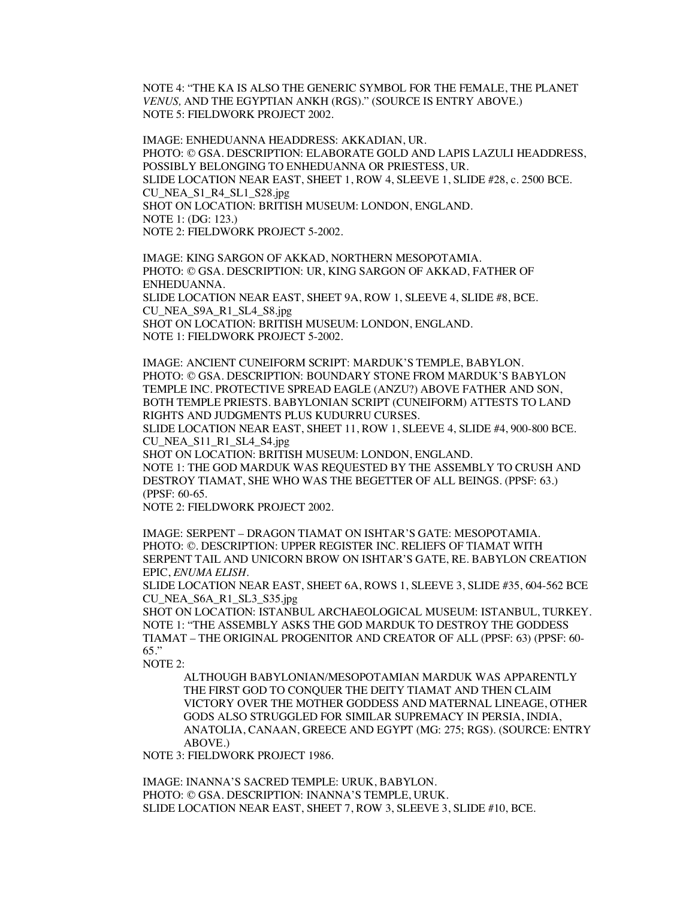NOTE 4: "THE KA IS ALSO THE GENERIC SYMBOL FOR THE FEMALE, THE PLANET *VENUS,* AND THE EGYPTIAN ANKH (RGS)." (SOURCE IS ENTRY ABOVE.) NOTE 5: FIELDWORK PROJECT 2002.

IMAGE: ENHEDUANNA HEADDRESS: AKKADIAN, UR. PHOTO: © GSA. DESCRIPTION: ELABORATE GOLD AND LAPIS LAZULI HEADDRESS, POSSIBLY BELONGING TO ENHEDUANNA OR PRIESTESS, UR. SLIDE LOCATION NEAR EAST, SHEET 1, ROW 4, SLEEVE 1, SLIDE #28, c. 2500 BCE. CU\_NEA\_S1\_R4\_SL1\_S28.jpg SHOT ON LOCATION: BRITISH MUSEUM: LONDON, ENGLAND. NOTE 1: (DG: 123.) NOTE 2: FIELDWORK PROJECT 5-2002.

IMAGE: KING SARGON OF AKKAD, NORTHERN MESOPOTAMIA. PHOTO: © GSA. DESCRIPTION: UR, KING SARGON OF AKKAD, FATHER OF ENHEDUANNA. SLIDE LOCATION NEAR EAST, SHEET 9A, ROW 1, SLEEVE 4, SLIDE #8, BCE. CU\_NEA\_S9A\_R1\_SL4\_S8.jpg SHOT ON LOCATION: BRITISH MUSEUM: LONDON, ENGLAND. NOTE 1: FIELDWORK PROJECT 5-2002.

IMAGE: ANCIENT CUNEIFORM SCRIPT: MARDUK'S TEMPLE, BABYLON. PHOTO: © GSA. DESCRIPTION: BOUNDARY STONE FROM MARDUK'S BABYLON TEMPLE INC. PROTECTIVE SPREAD EAGLE (ANZU?) ABOVE FATHER AND SON, BOTH TEMPLE PRIESTS. BABYLONIAN SCRIPT (CUNEIFORM) ATTESTS TO LAND RIGHTS AND JUDGMENTS PLUS KUDURRU CURSES.

SLIDE LOCATION NEAR EAST, SHEET 11, ROW 1, SLEEVE 4, SLIDE #4, 900-800 BCE. CU\_NEA\_S11\_R1\_SL4\_S4.jpg

SHOT ON LOCATION: BRITISH MUSEUM: LONDON, ENGLAND. NOTE 1: THE GOD MARDUK WAS REQUESTED BY THE ASSEMBLY TO CRUSH AND DESTROY TIAMAT, SHE WHO WAS THE BEGETTER OF ALL BEINGS. (PPSF: 63.) (PPSF: 60-65.

NOTE 2: FIELDWORK PROJECT 2002.

IMAGE: SERPENT – DRAGON TIAMAT ON ISHTAR'S GATE: MESOPOTAMIA. PHOTO: ©. DESCRIPTION: UPPER REGISTER INC. RELIEFS OF TIAMAT WITH SERPENT TAIL AND UNICORN BROW ON ISHTAR'S GATE, RE. BABYLON CREATION EPIC, *ENUMA ELISH*.

SLIDE LOCATION NEAR EAST, SHEET 6A, ROWS 1, SLEEVE 3, SLIDE #35, 604-562 BCE CU\_NEA\_S6A\_R1\_SL3\_S35.jpg

SHOT ON LOCATION: ISTANBUL ARCHAEOLOGICAL MUSEUM: ISTANBUL, TURKEY. NOTE 1: "THE ASSEMBLY ASKS THE GOD MARDUK TO DESTROY THE GODDESS TIAMAT – THE ORIGINAL PROGENITOR AND CREATOR OF ALL (PPSF: 63) (PPSF: 60- 65."

NOTE 2:

ALTHOUGH BABYLONIAN/MESOPOTAMIAN MARDUK WAS APPARENTLY THE FIRST GOD TO CONQUER THE DEITY TIAMAT AND THEN CLAIM VICTORY OVER THE MOTHER GODDESS AND MATERNAL LINEAGE, OTHER GODS ALSO STRUGGLED FOR SIMILAR SUPREMACY IN PERSIA, INDIA, ANATOLIA, CANAAN, GREECE AND EGYPT (MG: 275; RGS). (SOURCE: ENTRY ABOVE.)

NOTE 3: FIELDWORK PROJECT 1986.

IMAGE: INANNA'S SACRED TEMPLE: URUK, BABYLON. PHOTO: © GSA. DESCRIPTION: INANNA'S TEMPLE, URUK. SLIDE LOCATION NEAR EAST, SHEET 7, ROW 3, SLEEVE 3, SLIDE #10, BCE.